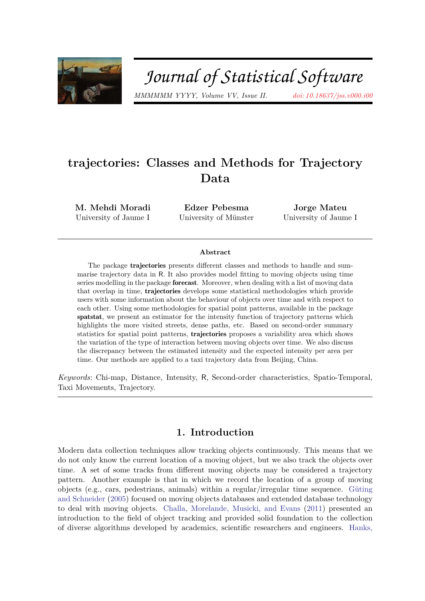

# Journal of Statistical Software

*MMMMMM YYYY, Volume VV, Issue II. doi: 10.18637/jss.v000.i00*

## **trajectories: Classes and Methods for Trajectory Data**

**M. Mehdi Moradi** University of Jaume I

**Edzer Pebesma** University of Münster

**Jorge Mateu** University of Jaume I

#### **Abstract**

The package trajectories presents different classes and methods to handle and summarise trajectory data in R. It also provides model fitting to moving objects using time series modelling in the package forecast. Moreover, when dealing with a list of moving data that overlap in time, trajectories develops some statistical methodologies which provide users with some information about the behaviour of objects over time and with respect to each other. Using some methodologies for spatial point patterns, available in the package spatstat, we present an estimator for the intensity function of trajectory patterns which highlights the more visited streets, dense paths, etc. Based on second-order summary statistics for spatial point patterns, trajectories proposes a variability area which shows the variation of the type of interaction between moving objects over time. We also discuss the discrepancy between the estimated intensity and the expected intensity per area per time. Our methods are applied to a taxi trajectory data from Beijing, China.

*Keywords*: Chi-map, Distance, Intensity, R, Second-order characteristics, Spatio-Temporal, Taxi Movements, Trajectory.

## **1. Introduction**

Modern data collection techniques allow tracking objects continuously. This means that we do not only know the current location of a moving object, but we also track the objects over time. A set of some tracks from different moving objects may be considered a trajectory pattern. Another example is that in which we record the location of a group of moving objects (e.g., cars, pedestrians, animals) within a regular/irregular time sequence. Güting and Schneider (2005) focused on moving objects databases and extended database technology to deal with moving objects. Challa, Morelande, Musicki, and Evans (2011) presented an introduction to the field of object tracking and provided solid foundation to the collection of diverse algorithms developed by academics, scientific researchers and engineers. Hanks,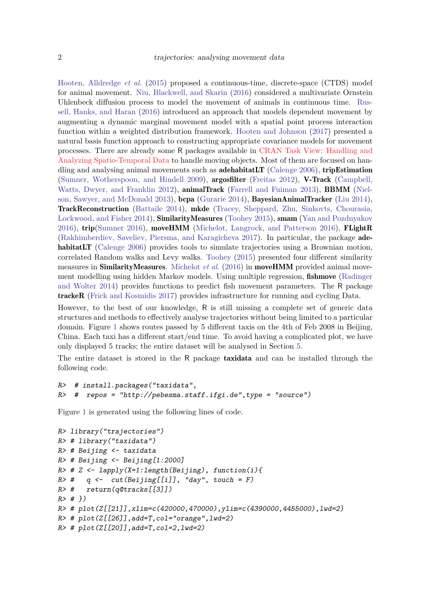Hooten, Alldredge *et al.* (2015) proposed a continuous-time, discrete-space (CTDS) model for animal movement. Niu, Blackwell, and Skarin (2016) considered a multivariate Ornstein Uhlenbeck diffusion process to model the movement of animals in continuous time. Russell, Hanks, and Haran (2016) introduced an approach that models dependent movement by augmenting a dynamic marginal movement model with a spatial point process interaction function within a weighted distribution framework. Hooten and Johnson (2017) presented a natural basis function approach to constructing appropriate covariance models for movement processes. There are already some R packages available in CRAN Task View: Handling and Analyzing Spatio-Temporal Data to handle moving objects. Most of them are focused on handling and analysing animal movements such as **adehabitatLT** (Calenge 2006), **tripEstimation** (Sumner, Wotherspoon, and Hindell 2009), argosfilter (Freitas 2012), V-Track (Campbell, Watts, Dwyer, and Franklin 2012), **animalTrack** (Farrell and Fuiman 2013), **BBMM** (Nielson, Sawyer, and McDonald 2013), bcpa (Gurarie 2014), BayesianAnimalTracker (Liu 2014), TrackReconstruction (Battaile 2014), mkde (Tracey, Sheppard, Zhu, Sinkovts, Chourasia, Lockwood, and Fisher 2014), SimilarityMeasures (Toohey 2015), smam (Yan and Pozdnyakov 2016), trip(Sumner 2016), moveHMM (Michelot, Langrock, and Patterson 2016), FLightR (Rakhimberdiev, Saveliev, Piersma, and Karagicheva 2017). In particular, the package adehabitatLT (Calenge 2006) provides tools to simulate trajectories using a Brownian motion, correlated Random walks and Levy walks. Toohey (2015) presented four different similarity measures in SimilarityMeasures. Michelot *et al.* (2016) in moveHMM provided animal movement modelling using hidden Markov models. Using multiple regression, fishmove (Radinger and Wolter 2014) provides functions to predict fish movement parameters. The R package trackeR (Frick and Kosmidis 2017) provides infrastructure for running and cycling Data.

However, to the best of our knowledge, R is still missing a complete set of generic data structures and methods to effectively analyse trajectories without being limited to a particular domain. Figure 1 shows routes passed by 5 different taxis on the 4th of Feb 2008 in Beijing, China. Each taxi has a different start/end time. To avoid having a complicated plot, we have only displayed 5 tracks; the entire dataset will be analysed in Section 5.

The entire dataset is stored in the R package taxidata and can be installed through the following code.

```
R> # install.packages("taxidata",
R> # repos = "http://pebesma.staff.ifgi.de",type = "source")
```
Figure 1 is generated using the following lines of code.

```
R> library("trajectories")
R> # library("taxidata")
R> # Beijing <- taxidata
R> # Beijing <- Beijing[1:2000]
R> # Z <- lapply(X=1:length(Beijing), function(i){
R> # q <- cut(Beijing[[i]], "day", touch = F)
R> # return(q@tracks[[3]])
R> # })
R> # plot(Z[[21]],xlim=c(420000,470000),ylim=c(4390000,4455000),lwd=2)
R \neq plot(Z[[26]], add=T, col="orange", lwd=2)
R \neq plot(Z[[20]], add=T, col=2, lwd=2)
```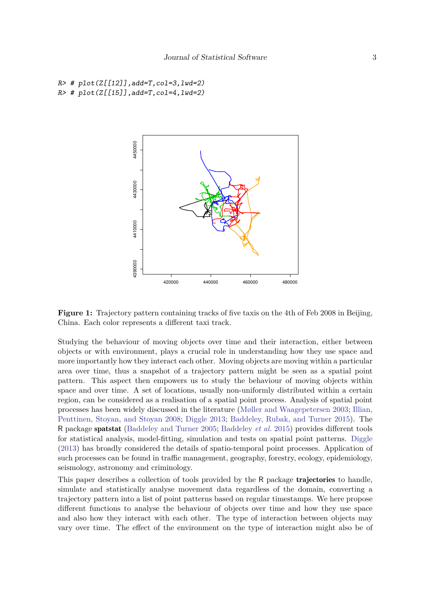```
R \neq plot(Z[[12]], add=T, col=3, lwd=2)R \neq plot(Z[[15]], add=T, col=4, lwd=2)
```


**Figure 1:** Trajectory pattern containing tracks of five taxis on the 4th of Feb 2008 in Beijing, China. Each color represents a different taxi track.

Studying the behaviour of moving objects over time and their interaction, either between objects or with environment, plays a crucial role in understanding how they use space and more importantly how they interact each other. Moving objects are moving within a particular area over time, thus a snapshot of a trajectory pattern might be seen as a spatial point pattern. This aspect then empowers us to study the behaviour of moving objects within space and over time. A set of locations, usually non-uniformly distributed within a certain region, can be considered as a realisation of a spatial point process. Analysis of spatial point processes has been widely discussed in the literature (Møller and Waagepetersen 2003; Illian, Penttinen, Stoyan, and Stoyan 2008; Diggle 2013; Baddeley, Rubak, and Turner 2015). The R package spatstat (Baddeley and Turner 2005; Baddeley *et al.* 2015) provides different tools for statistical analysis, model-fitting, simulation and tests on spatial point patterns. Diggle (2013) has broadly considered the details of spatio-temporal point processes. Application of such processes can be found in traffic management, geography, forestry, ecology, epidemiology, seismology, astronomy and criminology.

This paper describes a collection of tools provided by the R package **trajectories** to handle, simulate and statistically analyse movement data regardless of the domain, converting a trajectory pattern into a list of point patterns based on regular timestamps. We here propose different functions to analyse the behaviour of objects over time and how they use space and also how they interact with each other. The type of interaction between objects may vary over time. The effect of the environment on the type of interaction might also be of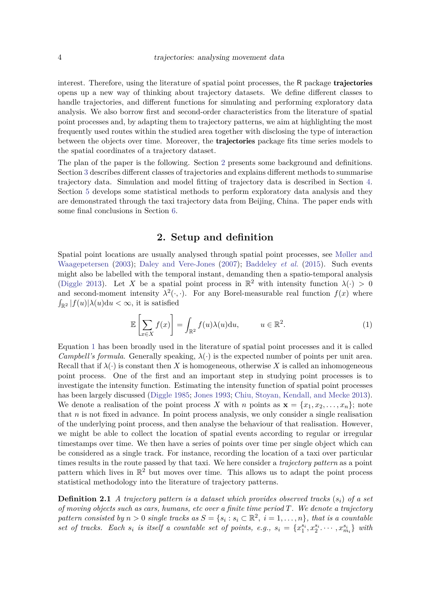interest. Therefore, using the literature of spatial point processes, the R package trajectories opens up a new way of thinking about trajectory datasets. We define different classes to handle trajectories, and different functions for simulating and performing exploratory data analysis. We also borrow first and second-order characteristics from the literature of spatial point processes and, by adapting them to trajectory patterns, we aim at highlighting the most frequently used routes within the studied area together with disclosing the type of interaction between the objects over time. Moreover, the trajectories package fits time series models to the spatial coordinates of a trajectory dataset.

The plan of the paper is the following. Section 2 presents some background and definitions. Section 3 describes different classes of trajectories and explains different methods to summarise trajectory data. Simulation and model fitting of trajectory data is described in Section 4. Section 5 develops some statistical methods to perform exploratory data analysis and they are demonstrated through the taxi trajectory data from Beijing, China. The paper ends with some final conclusions in Section 6.

## **2. Setup and definition**

Spatial point locations are usually analysed through spatial point processes, see Møller and Waagepetersen (2003); Daley and Vere-Jones (2007); Baddeley *et al.* (2015). Such events might also be labelled with the temporal instant, demanding then a spatio-temporal analysis (Diggle 2013). Let *X* be a spatial point process in  $\mathbb{R}^2$  with intensity function  $\lambda(\cdot) > 0$ and second-moment intensity  $\lambda^2(\cdot, \cdot)$ . For any Borel-measurable real function  $f(x)$  where  $\int_{\mathbb{R}^2} |f(u)| \lambda(u) \mathrm{d}u < \infty$ , it is satisfied

$$
\mathbb{E}\left[\sum_{x\in X} f(x)\right] = \int_{\mathbb{R}^2} f(u)\lambda(u) \mathrm{d}u, \qquad u \in \mathbb{R}^2. \tag{1}
$$

Equation 1 has been broadly used in the literature of spatial point processes and it is called *Campbell's formula*. Generally speaking,  $\lambda(\cdot)$  is the expected number of points per unit area. Recall that if  $\lambda(\cdot)$  is constant then X is homogeneous, otherwise X is called an inhomogeneous point process. One of the first and an important step in studying point processes is to investigate the intensity function. Estimating the intensity function of spatial point processes has been largely discussed (Diggle 1985; Jones 1993; Chiu, Stoyan, Kendall, and Mecke 2013). We denote a realisation of the point process *X* with *n* points as  $\mathbf{x} = \{x_1, x_2, \dots, x_n\}$ ; note that *n* is not fixed in advance. In point process analysis, we only consider a single realisation of the underlying point process, and then analyse the behaviour of that realisation. However, we might be able to collect the location of spatial events according to regular or irregular timestamps over time. We then have a series of points over time per single object which can be considered as a single track. For instance, recording the location of a taxi over particular times results in the route passed by that taxi. We here consider a *trajectory pattern* as a point pattern which lives in  $\mathbb{R}^2$  but moves over time. This allows us to adapt the point process statistical methodology into the literature of trajectory patterns.

**Definition 2.1** *A trajectory pattern is a dataset which provides observed tracks* (*si*) *of a set of moving objects such as cars, humans, etc over a finite time period T. We denote a trajectory pattern consisted by*  $n > 0$  *single tracks as*  $S = \{s_i : s_i \in \mathbb{R}^2, i = 1, ..., n\}$ *, that is a countable* set of tracks. Each  $s_i$  is itself a countable set of points, e.g.,  $s_i = \{x_1^{s_i}, x_2^{s_i} \cdots, x_{m_i}^{s_i}\}\$  with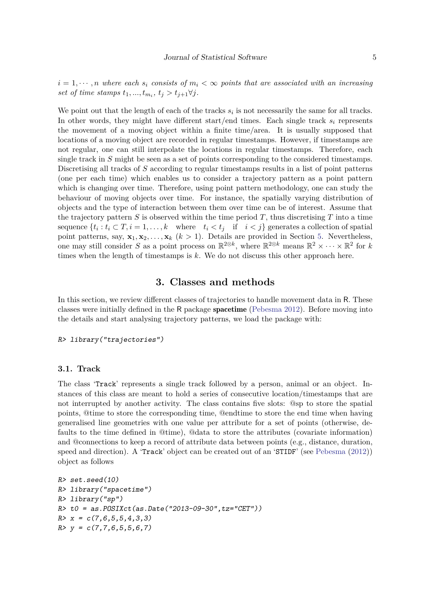$i = 1, \dots, n$  where each  $s_i$  consists of  $m_i < \infty$  points that are associated with an increasing *set of time stamps*  $t_1, ..., t_{m_i}, t_j > t_{j+1} \forall j$ .

We point out that the length of each of the tracks  $s_i$  is not necessarily the same for all tracks. In other words, they might have different start/end times. Each single track  $s_i$  represents the movement of a moving object within a finite time/area. It is usually supposed that locations of a moving object are recorded in regular timestamps. However, if timestamps are not regular, one can still interpolate the locations in regular timestamps. Therefore, each single track in *S* might be seen as a set of points corresponding to the considered timestamps. Discretising all tracks of *S* according to regular timestamps results in a list of point patterns (one per each time) which enables us to consider a trajectory pattern as a point pattern which is changing over time. Therefore, using point pattern methodology, one can study the behaviour of moving objects over time. For instance, the spatially varying distribution of objects and the type of interaction between them over time can be of interest. Assume that the trajectory pattern  $S$  is observed within the time period  $T$ , thus discretising  $T$  into a time sequence  $\{t_i : t_i \subset T, i = 1, \ldots, k \text{ where } t_i < t_j \text{ if } i < j \}$  generates a collection of spatial point patterns, say,  $\mathbf{x}_1, \mathbf{x}_2, \ldots, \mathbf{x}_k$  ( $k > 1$ ). Details are provided in Section 5. Nevertheless, one may still consider *S* as a point process on  $\mathbb{R}^{2\otimes k}$ , where  $\mathbb{R}^{2\otimes k}$  means  $\mathbb{R}^2 \times \cdots \times \mathbb{R}^2$  for *k* times when the length of timestamps is *k*. We do not discuss this other approach here.

## **3. Classes and methods**

In this section, we review different classes of trajectories to handle movement data in R. These classes were initially defined in the R package **spacetime** (Pebesma 2012). Before moving into the details and start analysing trajectory patterns, we load the package with:

R> library("trajectories")

#### **3.1. Track**

The class 'Track' represents a single track followed by a person, animal or an object. Instances of this class are meant to hold a series of consecutive location/timestamps that are not interrupted by another activity. The class contains five slots: @sp to store the spatial points, @time to store the corresponding time, @endtime to store the end time when having generalised line geometries with one value per attribute for a set of points (otherwise, defaults to the time defined in @time), @data to store the attributes (covariate information) and @connections to keep a record of attribute data between points (e.g., distance, duration, speed and direction). A 'Track' object can be created out of an 'STIDF' (see Pebesma (2012)) object as follows

```
R> set.seed(10)
R> library("spacetime")
R> library("sp")
R t0 = as.POSIXct(as.Date('2013-09-30", tz="CET"))R > x = c(7, 6, 5, 5, 4, 3, 3)R > y = c(7, 7, 6, 5, 5, 6, 7)
```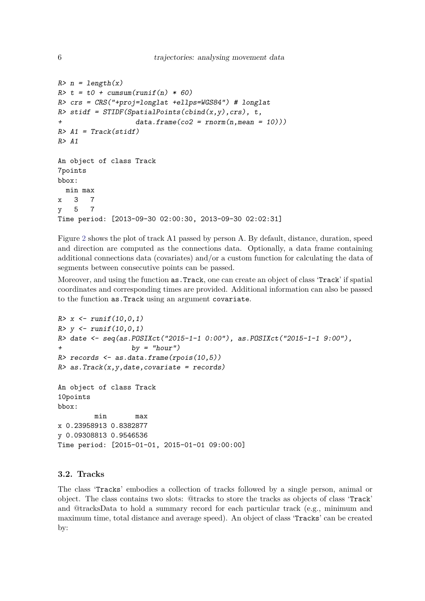```
R> n = length(x)R> t = t0 + cumsum(runif(n) * 60)
R> crs = CRS("+proj=longlat +ellps=WGS84") # longlat
R> stidf = STIDF(SpatialPoints(cbind(x,y), crs), t,
+ data.frame(co2 = rnorm(n,mean = 10)))
R > A1 = \text{Track}(\text{stidf})R > A1An object of class Track
7points
bbox:
 min max
x 3 7
y 5 7
Time period: [2013-09-30 02:00:30, 2013-09-30 02:02:31]
```
Figure 2 shows the plot of track A1 passed by person A. By default, distance, duration, speed and direction are computed as the connections data. Optionally, a data frame containing additional connections data (covariates) and/or a custom function for calculating the data of segments between consecutive points can be passed.

Moreover, and using the function as.Track, one can create an object of class 'Track' if spatial coordinates and corresponding times are provided. Additional information can also be passed to the function as.Track using an argument covariate.

```
R > x \leftarrow runif(10,0,1)R> y <- runif(10,0,1)
R> date <- seq(as.POSIXct("2015-1-1 0:00"), as.POSIXct("2015-1-1 9:00"),
                   by = "hour")R> records \leq as.data.frame(rpois(10,5))
R> as. Track(x, y, date, covariate = records)An object of class Track
10points
bbox:
         min max
x 0.23958913 0.8382877
y 0.09308813 0.9546536
Time period: [2015-01-01, 2015-01-01 09:00:00]
```
## **3.2. Tracks**

The class 'Tracks' embodies a collection of tracks followed by a single person, animal or object. The class contains two slots: @tracks to store the tracks as objects of class 'Track' and @tracksData to hold a summary record for each particular track (e.g., minimum and maximum time, total distance and average speed). An object of class 'Tracks' can be created by: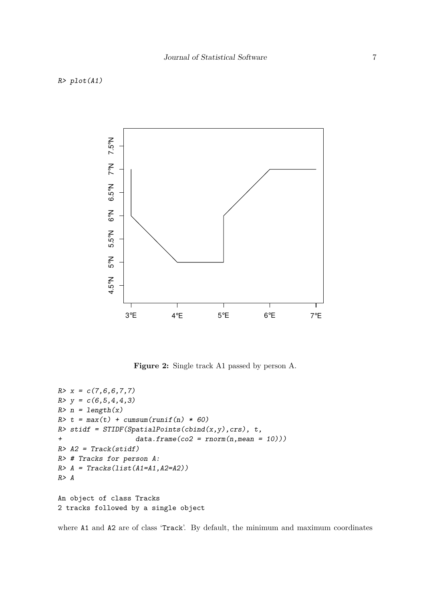

**Figure 2:** Single track A1 passed by person A.

```
R > x = c(7,6,6,7,7)R > y = c(6, 5, 4, 4, 3)R> n = length(x)R> t = max(t) + cumsum(runif(n) * 60)
R> stidf = STIDF(SpatialPoints(cbind(x,y), crs), t,
+ data.frame(co2 = rnorm(n,mean = 10)))
R > A2 = Track(stat)R> # Tracks for person A:
R > A = Tracks(list(A1=A1, A2=A2))R> A
An object of class Tracks
2 tracks followed by a single object
```
where A1 and A2 are of class 'Track'. By default, the minimum and maximum coordinates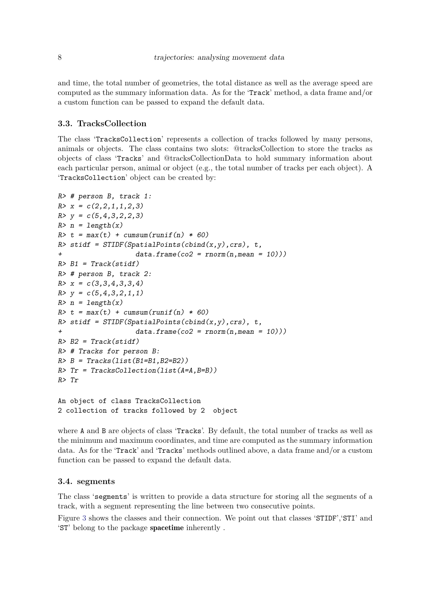and time, the total number of geometries, the total distance as well as the average speed are computed as the summary information data. As for the 'Track' method, a data frame and/or a custom function can be passed to expand the default data.

## **3.3. TracksCollection**

The class 'TracksCollection' represents a collection of tracks followed by many persons, animals or objects. The class contains two slots: @tracksCollection to store the tracks as objects of class 'Tracks' and @tracksCollectionData to hold summary information about each particular person, animal or object (e.g., the total number of tracks per each object). A 'TracksCollection' object can be created by:

```
R> # person B, track 1:
R > x = c(2, 2, 1, 1, 2, 3)R > y = c(5, 4, 3, 2, 2, 3)R> n = length(x)R> t = max(t) + cumsum(runif(n) * 60)
R> stidf = STIDF(SpatialPoints(cbind(x,y),crs), t,
+ data.frame(co2 = rnorm(n,mean = 10)))
R > B1 = \text{Track}(\text{stidf})R> # person B, track 2:
R > x = c(3,3,4,3,3,4)R > y = c(5, 4, 3, 2, 1, 1)R> n = length(x)R> t = max(t) + cumsum(runif(n) * 60)
R> stidf = STIDF(SpatialPoints(cbind(x,y), crs), t,
+ data.frame(co2 = rnorm(n,mean = 10)))
R > B2 = Track(stat)R> # Tracks for person B:
R > B = \text{Tracks}(\text{list}(\text{B1=B1}, \text{B2=B2}))R> Tr = TracksCollection(list(A=A, B=B))R> Tr
An object of class TracksCollection
2 collection of tracks followed by 2 object
```
where A and B are objects of class 'Tracks'. By default, the total number of tracks as well as the minimum and maximum coordinates, and time are computed as the summary information data. As for the 'Track' and 'Tracks' methods outlined above, a data frame and/or a custom function can be passed to expand the default data.

#### **3.4. segments**

The class 'segments' is written to provide a data structure for storing all the segments of a track, with a segment representing the line between two consecutive points.

Figure 3 shows the classes and their connection. We point out that classes 'STIDF', 'STI' and 'ST' belong to the package spacetime inherently .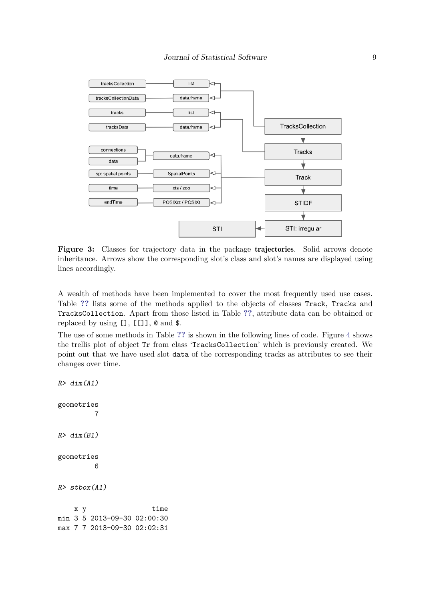

**Figure 3:** Classes for trajectory data in the package trajectories. Solid arrows denote inheritance. Arrows show the corresponding slot's class and slot's names are displayed using lines accordingly.

A wealth of methods have been implemented to cover the most frequently used use cases. Table **??** lists some of the methods applied to the objects of classes Track, Tracks and TracksCollection. Apart from those listed in Table **??**, attribute data can be obtained or replaced by using [], [[]], @ and \$.

The use of some methods in Table **??** is shown in the following lines of code. Figure 4 shows the trellis plot of object Tr from class 'TracksCollection' which is previously created. We point out that we have used slot data of the corresponding tracks as attributes to see their changes over time.

 $R > dim(A1)$ geometries 7  $R > dim(B1)$ geometries 6  $R$ > stbox(A1) x y time min 3 5 2013-09-30 02:00:30 max 7 7 2013-09-30 02:02:31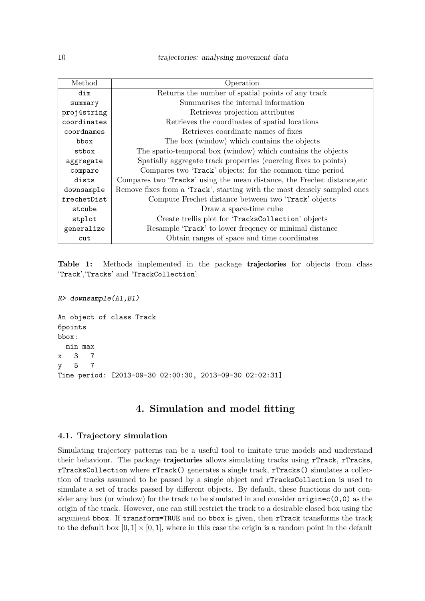| Method      | Operation                                                                 |
|-------------|---------------------------------------------------------------------------|
| dim         | Returns the number of spatial points of any track                         |
| summary     | Summarises the internal information                                       |
| proj4string | Retrieves projection attributes                                           |
| coordinates | Retrieves the coordinates of spatial locations                            |
| coordnames  | Retrieves coordinate names of fixes                                       |
| bbox        | The box (window) which contains the objects                               |
| stbox       | The spatio-temporal box (window) which contains the objects               |
| aggregate   | Spatially aggregate track properties (coercing fixes to points)           |
| compare     | Compares two 'Track' objects: for the common time period                  |
| dists       | Compares two 'Tracks' using the mean distance, the Frechet distance, etc. |
| downsample  | Remove fixes from a 'Track', starting with the most densely sampled ones  |
| frechetDist | Compute Frechet distance between two 'Track' objects                      |
| stcube      | Draw a space-time cube                                                    |
| stplot      | Create trellis plot for 'TracksCollection' objects                        |
| generalize  | Resample 'Track' to lower frequency or minimal distance                   |
| cut         | Obtain ranges of space and time coordinates                               |

**Table 1:** Methods implemented in the package trajectories for objects from class 'Track','Tracks' and 'TrackCollection'.

R> downsample(A1,B1)

An object of class Track 6points bbox: min max x 3 7 y 5 7 Time period: [2013-09-30 02:00:30, 2013-09-30 02:02:31]

## **4. Simulation and model fitting**

## **4.1. Trajectory simulation**

Simulating trajectory patterns can be a useful tool to imitate true models and understand their behaviour. The package **trajectories** allows simulating tracks using **rTrack**, **rTracks**, rTracksCollection where rTrack() generates a single track, rTracks() simulates a collection of tracks assumed to be passed by a single object and rTracksCollection is used to simulate a set of tracks passed by different objects. By default, these functions do not consider any box (or window) for the track to be simulated in and consider  $origin = c(0,0)$  as the origin of the track. However, one can still restrict the track to a desirable closed box using the argument bbox. If transform=TRUE and no bbox is given, then rTrack transforms the track to the default box  $[0,1] \times [0,1]$ , where in this case the origin is a random point in the default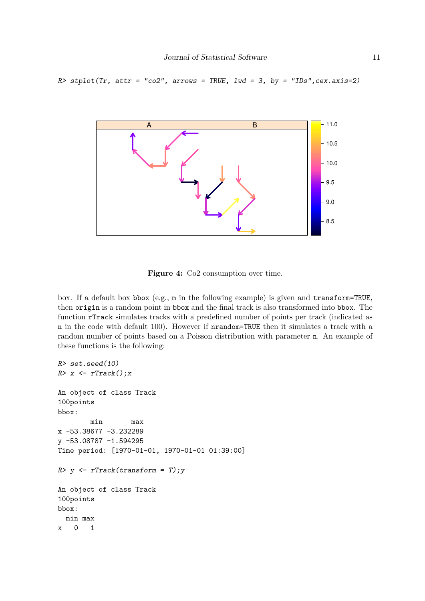#### $R$ > stplot(Tr, attr = "co2", arrows = TRUE, lwd = 3, by = "IDs", cex.axis=2)



**Figure 4:** Co2 consumption over time.

box. If a default box bbox (e.g., m in the following example) is given and transform=TRUE, then origin is a random point in bbox and the final track is also transformed into bbox. The function rTrack simulates tracks with a predefined number of points per track (indicated as n in the code with default 100). However if nrandom=TRUE then it simulates a track with a random number of points based on a Poisson distribution with parameter n. An example of these functions is the following:

```
R> set.seed(10)
R > x \leftarrow rTrack(); xAn object of class Track
100points
bbox:
        min max
x -53.38677 -3.232289
y -53.08787 -1.594295
Time period: [1970-01-01, 1970-01-01 01:39:00]
R> y <- rTrack(transform = T); y
An object of class Track
100points
bbox:
  min max
x 0 1
```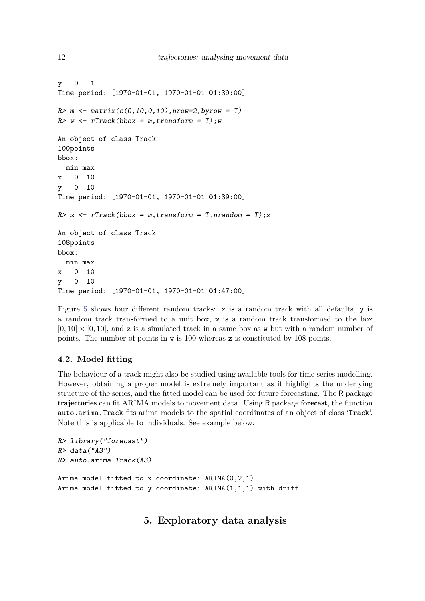```
y 0 1
Time period: [1970-01-01, 1970-01-01 01:39:00]
R > m <- matrix(c(0, 10, 0, 10), nrow=2, by row = T)R> w <- rTrack(bbox = m, transform = T); w
An object of class Track
100points
bbox:
  min max
x 0 10
y 0 10
Time period: [1970-01-01, 1970-01-01 01:39:00]
R > z <- rTrack(bbox = m, transform = T, nrandom = T); z
An object of class Track
108points
bbox:
  min max
x 0 10
y 0 10
Time period: [1970-01-01, 1970-01-01 01:47:00]
```
Figure 5 shows four different random tracks: x is a random track with all defaults, y is a random track transformed to a unit box, w is a random track transformed to the box  $[0, 10] \times [0, 10]$ , and z is a simulated track in a same box as w but with a random number of points. The number of points in w is 100 whereas z is constituted by 108 points.

## **4.2. Model fitting**

The behaviour of a track might also be studied using available tools for time series modelling. However, obtaining a proper model is extremely important as it highlights the underlying structure of the series, and the fitted model can be used for future forecasting. The R package trajectories can fit ARIMA models to movement data. Using R package forecast, the function auto.arima.Track fits arima models to the spatial coordinates of an object of class 'Track'. Note this is applicable to individuals. See example below.

```
R> library("forecast")
R> data("A3")
R> auto.arima.Track(A3)
Arima model fitted to x-coordinate: ARIMA(0,2,1)
Arima model fitted to y-coordinate: ARIMA(1,1,1) with drift
```
## **5. Exploratory data analysis**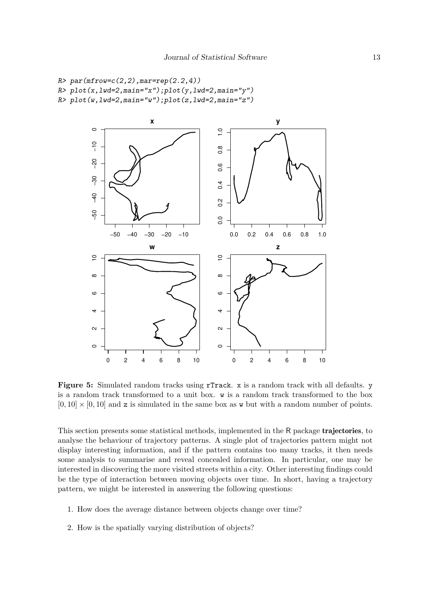```
R > par(mfrow=c(2,2),mar=rep(2.2,4))R> plot(x, lwd=2, main="x"); plot(y, lwd=2, main="y")
R> plot(w,lwd=2,main="w");plot(z,lwd=2,main="z")
```


**Figure 5:** Simulated random tracks using rTrack. x is a random track with all defaults. y is a random track transformed to a unit box. w is a random track transformed to the box  $[0, 10] \times [0, 10]$  and z is simulated in the same box as w but with a random number of points.

This section presents some statistical methods, implemented in the R package trajectories, to analyse the behaviour of trajectory patterns. A single plot of trajectories pattern might not display interesting information, and if the pattern contains too many tracks, it then needs some analysis to summarise and reveal concealed information. In particular, one may be interested in discovering the more visited streets within a city. Other interesting findings could be the type of interaction between moving objects over time. In short, having a trajectory pattern, we might be interested in answering the following questions:

- 1. How does the average distance between objects change over time?
- 2. How is the spatially varying distribution of objects?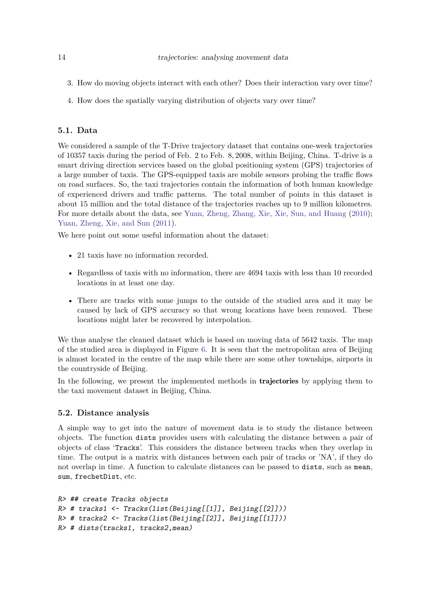- 3. How do moving objects interact with each other? Does their interaction vary over time?
- 4. How does the spatially varying distribution of objects vary over time?

## **5.1. Data**

We considered a sample of the T-Drive trajectory dataset that contains one-week trajectories of 10357 taxis during the period of Feb. 2 to Feb. 8*,* 2008, within Beijing, China. T-drive is a smart driving direction services based on the global positioning system (GPS) trajectories of a large number of taxis. The GPS-equipped taxis are mobile sensors probing the traffic flows on road surfaces. So, the taxi trajectories contain the information of both human knowledge of experienced drivers and traffic patterns. The total number of points in this dataset is about 15 million and the total distance of the trajectories reaches up to 9 million kilometres. For more details about the data, see Yuan, Zheng, Zhang, Xie, Xie, Sun, and Huang (2010); Yuan, Zheng, Xie, and Sun (2011).

We here point out some useful information about the dataset:

- 21 taxis have no information recorded.
- Regardless of taxis with no information, there are 4694 taxis with less than 10 recorded locations in at least one day.
- There are tracks with some jumps to the outside of the studied area and it may be caused by lack of GPS accuracy so that wrong locations have been removed. These locations might later be recovered by interpolation.

We thus analyse the cleaned dataset which is based on moving data of 5642 taxis. The map of the studied area is displayed in Figure 6. It is seen that the metropolitan area of Beijing is almost located in the centre of the map while there are some other townships, airports in the countryside of Beijing.

In the following, we present the implemented methods in **trajectories** by applying them to the taxi movement dataset in Beijing, China.

#### **5.2. Distance analysis**

A simple way to get into the nature of movement data is to study the distance between objects. The function dists provides users with calculating the distance between a pair of objects of class 'Tracks'. This considers the distance between tracks when they overlap in time. The output is a matrix with distances between each pair of tracks or 'NA', if they do not overlap in time. A function to calculate distances can be passed to dists, such as mean, sum, frechetDist, etc.

```
R> ## create Tracks objects
R> # tracks1 <- Tracks(list(Beijing[[1]], Beijing[[2]]))
R> # tracks2 <- Tracks(list(Beijing[[2]], Beijing[[1]]))
R> # dists(tracks1, tracks2,mean)
```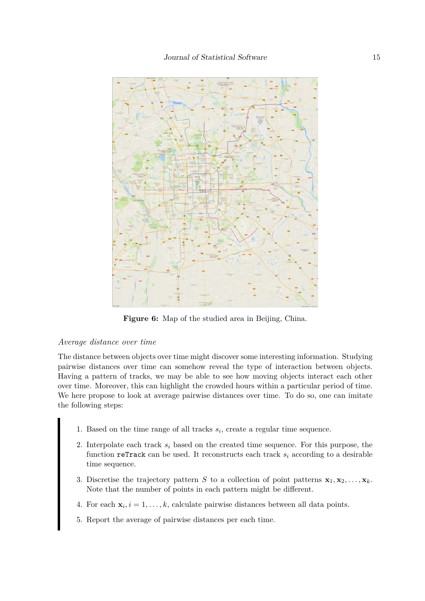

Figure 6: Map of the studied area in Beijing, China.

#### *Average distance over time*

The distance between objects over time might discover some interesting information. Studying pairwise distances over time can somehow reveal the type of interaction between objects. Having a pattern of tracks, we may be able to see how moving objects interact each other over time. Moreover, this can highlight the crowded hours within a particular period of time. We here propose to look at average pairwise distances over time. To do so, one can imitate the following steps:

- 1. Based on the time range of all tracks *s<sup>i</sup>* , create a regular time sequence.
- 2. Interpolate each track *s<sup>i</sup>* based on the created time sequence. For this purpose, the function reTrack can be used. It reconstructs each track *s<sup>i</sup>* according to a desirable time sequence.
- 3. Discretise the trajectory pattern *S* to a collection of point patterns  $\mathbf{x}_1, \mathbf{x}_2, \ldots, \mathbf{x}_k$ . Note that the number of points in each pattern might be different.
- 4. For each  $\mathbf{x}_i, i = 1, \ldots, k$ , calculate pairwise distances between all data points.
- 5. Report the average of pairwise distances per each time.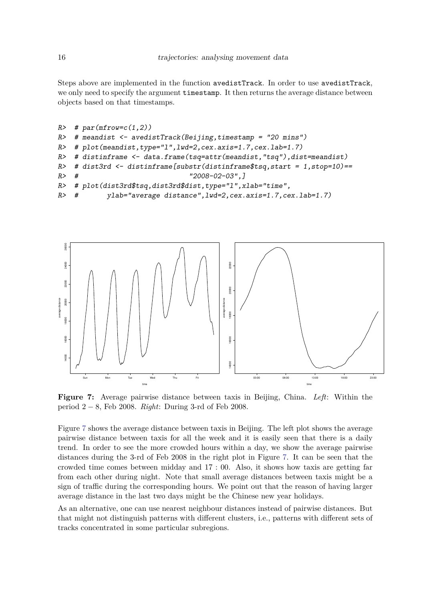Steps above are implemented in the function avedistTrack. In order to use avedistTrack, we only need to specify the argument timestamp. It then returns the average distance between objects based on that timestamps.

```
R # par(mfrow=c(1,2))
R \neq meandist \leq avedistTrack(Beijing, timestamp = "20 mins")
R \neq plot(meandist,type="1",lwd=2,cex.axis=1.7,cex.lab=1.7)
R> # distinframe <- data.frame(tsq=attr(meandist,"tsq"),dist=meandist)
R> # dist3rd \leq distinframe[substr(distinframe$tsq,start = 1,stop=10)==
R > # "2008-02-03",]R> # plot(dist3rd$tsq,dist3rd$dist,type="l",xlab="time",
R> # ylab="average distance",lwd=2,cex.axis=1.7,cex.lab=1.7)
```


**Figure 7:** Average pairwise distance between taxis in Beijing, China. *Left*: Within the period 2 − 8, Feb 2008. *Right*: During 3-rd of Feb 2008.

Figure 7 shows the average distance between taxis in Beijing. The left plot shows the average pairwise distance between taxis for all the week and it is easily seen that there is a daily trend. In order to see the more crowded hours within a day, we show the average pairwise distances during the 3-rd of Feb 2008 in the right plot in Figure 7. It can be seen that the crowded time comes between midday and 17 : 00. Also, it shows how taxis are getting far from each other during night. Note that small average distances between taxis might be a sign of traffic during the corresponding hours. We point out that the reason of having larger average distance in the last two days might be the Chinese new year holidays.

As an alternative, one can use nearest neighbour distances instead of pairwise distances. But that might not distinguish patterns with different clusters, i.e., patterns with different sets of tracks concentrated in some particular subregions.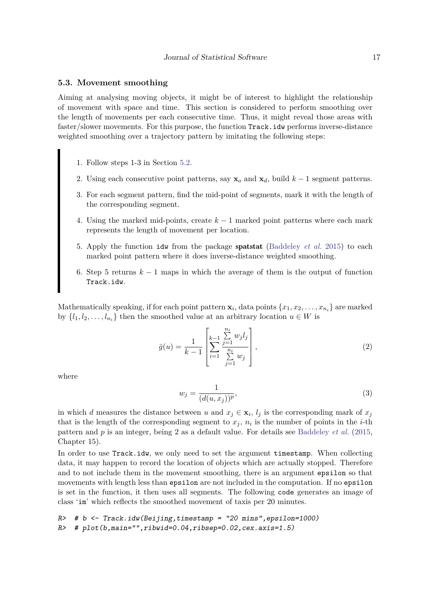#### **5.3. Movement smoothing**

Aiming at analysing moving objects, it might be of interest to highlight the relationship of movement with space and time. This section is considered to perform smoothing over the length of movements per each consecutive time. Thus, it might reveal those areas with faster/slower movements. For this purpose, the function Track.idw performs inverse-distance weighted smoothing over a trajectory pattern by imitating the following steps:

- 1. Follow steps 1-3 in Section 5.2.
- 2. Using each consecutive point patterns, say  $\mathbf{x}_o$  and  $\mathbf{x}_d$ , build  $k-1$  segment patterns.
- 3. For each segment pattern, find the mid-point of segments, mark it with the length of the corresponding segment.
- 4. Using the marked mid-points, create *k* − 1 marked point patterns where each mark represents the length of movement per location.
- 5. Apply the function idw from the package spatstat (Baddeley *et al.* 2015) to each marked point pattern where it does inverse-distance weighted smoothing.
- 6. Step 5 returns *k* − 1 maps in which the average of them is the output of function Track.idw.

Mathematically speaking, if for each point pattern  $\mathbf{x}_i$ , data points  $\{x_1, x_2, \ldots, x_{n_i}\}$  are marked by  $\{l_1, l_2, \ldots, l_{n_i}\}\)$  then the smoothed value at an arbitrary location  $u \in W$  is

$$
\bar{g}(u) = \frac{1}{k-1} \left[ \sum_{i=1}^{k-1} \frac{\sum_{j=1}^{n_i} w_j l_j}{\sum_{j=1}^{n_i} w_j} \right],
$$
\n(2)

where

$$
w_j = \frac{1}{(d(u, x_j))^p},\tag{3}
$$

in which *d* measures the distance between *u* and  $x_j \in \mathbf{x}_i$ ,  $l_j$  is the corresponding mark of  $x_j$ that is the length of the corresponding segment to  $x_j$ ,  $n_i$  is the number of points in the *i*-th pattern and *p* is an integer, being 2 as a default value. For details see Baddeley *et al.* (2015, Chapter 15).

In order to use Track.idw, we only need to set the argument timestamp. When collecting data, it may happen to record the location of objects which are actually stopped. Therefore and to not include them in the movement smoothing, there is an argument epsilon so that movements with length less than epsilon are not included in the computation. If no epsilon is set in the function, it then uses all segments. The following code generates an image of class 'im' which reflects the smoothed movement of taxis per 20 minutes.

```
R \neq b \leq Track.idw(Beijing,timestamp = "20 mins",epsilon=1000)
R> # plot(b,main="",ribwid=0.04,ribsep=0.02,cex.axis=1.5)
```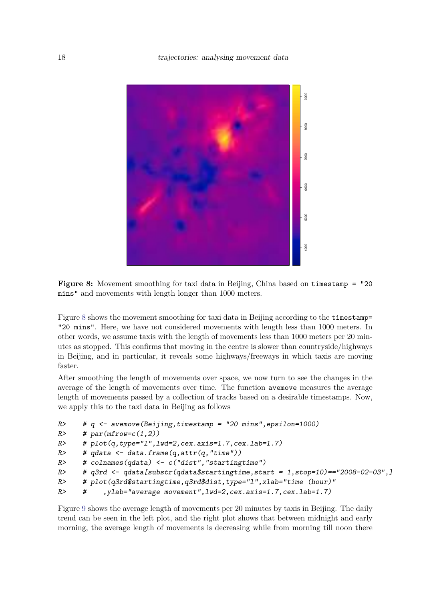

**Figure 8:** Movement smoothing for taxi data in Beijing, China based on timestamp = "20 mins" and movements with length longer than 1000 meters.

Figure 8 shows the movement smoothing for taxi data in Beijing according to the timestamp= "20 mins". Here, we have not considered movements with length less than 1000 meters. In other words, we assume taxis with the length of movements less than 1000 meters per 20 minutes as stopped. This confirms that moving in the centre is slower than countryside/highways in Beijing, and in particular, it reveals some highways/freeways in which taxis are moving faster.

After smoothing the length of movements over space, we now turn to see the changes in the average of the length of movements over time. The function avemove measures the average length of movements passed by a collection of tracks based on a desirable timestamps. Now, we apply this to the taxi data in Beijing as follows

```
R> # q <- avemove (Beijing, timestamp = "20 mins", epsilon=1000)
R # par(mfrow=c(1,2))
R # plot(q, type="1", lwd=2, cex. axis=1.7, cex. lab=1.7)R> # qdata <- data.frame(q,attr(q,"time"))
R> # colnames(qdata) <- c("dist","startingtime")
R> # q3rd <- qdata[substr(qdata$startingtime,start = 1,stop=10)=="2008-02-03",]
R> # plot(q3rd$startingtime,q3rd$dist,type="1",xlab="time (hour)"
R> # ,ylab="average movement",lwd=2,cex.axis=1.7,cex.lab=1.7)
```
Figure 9 shows the average length of movements per 20 minutes by taxis in Beijing. The daily trend can be seen in the left plot, and the right plot shows that between midnight and early morning, the average length of movements is decreasing while from morning till noon there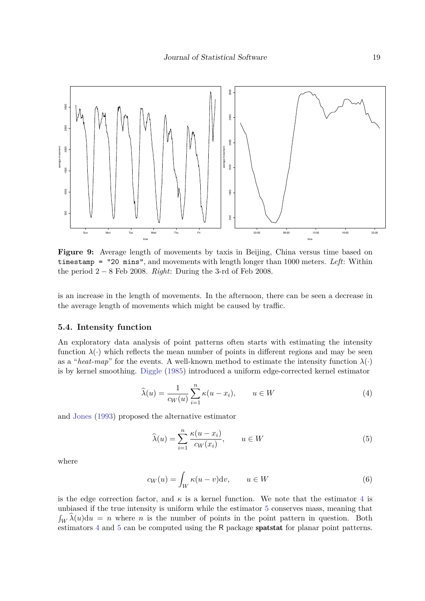

**Figure 9:** Average length of movements by taxis in Beijing, China versus time based on timestamp = "20 mins", and movements with length longer than 1000 meters. *Left*: Within the period 2 − 8 Feb 2008. *Right*: During the 3-rd of Feb 2008.

is an increase in the length of movements. In the afternoon, there can be seen a decrease in the average length of movements which might be caused by traffic.

### **5.4. Intensity function**

An exploratory data analysis of point patterns often starts with estimating the intensity function  $\lambda(\cdot)$  which reflects the mean number of points in different regions and may be seen as a "*heat-map*" for the events. A well-known method to estimate the intensity function  $\lambda(\cdot)$ is by kernel smoothing. Diggle (1985) introduced a uniform edge-corrected kernel estimator

$$
\widehat{\lambda}(u) = \frac{1}{c_W(u)} \sum_{i=1}^n \kappa(u - x_i), \qquad u \in W \tag{4}
$$

and Jones (1993) proposed the alternative estimator

$$
\widehat{\lambda}(u) = \sum_{i=1}^{n} \frac{\kappa(u - x_i)}{c_W(x_i)}, \qquad u \in W
$$
\n(5)

where

$$
c_W(u) = \int_W \kappa(u - v) \mathrm{d}v, \qquad u \in W \tag{6}
$$

is the edge correction factor, and  $\kappa$  is a kernel function. We note that the estimator 4 is unbiased if the true intensity is uniform while the estimator 5 conserves mass, meaning that  $\int_W \hat{\lambda}(u) \, du = n$  where *n* is the number of points in the point pattern in question. Both estimators 4 and 5 can be computed using the R package spatstat for planar point patterns.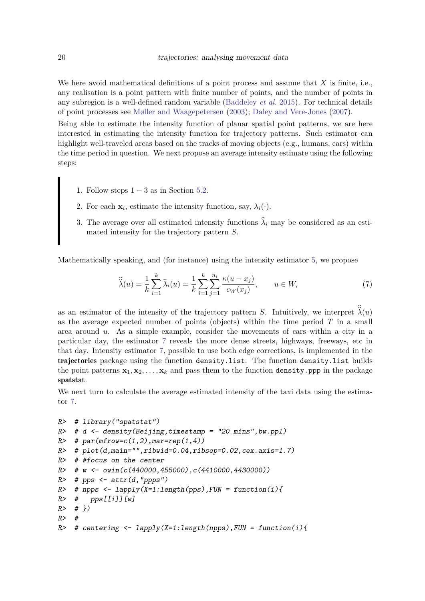We here avoid mathematical definitions of a point process and assume that *X* is finite, i.e., any realisation is a point pattern with finite number of points, and the number of points in any subregion is a well-defined random variable (Baddeley *et al.* 2015). For technical details of point processes see Møller and Waagepetersen (2003); Daley and Vere-Jones (2007).

Being able to estimate the intensity function of planar spatial point patterns, we are here interested in estimating the intensity function for trajectory patterns. Such estimator can highlight well-traveled areas based on the tracks of moving objects (e.g., humans, cars) within the time period in question. We next propose an average intensity estimate using the following steps:

- 1. Follow steps  $1 3$  as in Section 5.2.
- 2. For each  $\mathbf{x}_i$ , estimate the intensity function, say,  $\lambda_i(\cdot)$ .
- 3. The average over all estimated intensity functions  $\hat{\lambda}_i$  may be considered as an estimated intensity for the trajectory pattern *S*.

Mathematically speaking, and (for instance) using the intensity estimator 5, we propose

$$
\widehat{\widehat{\lambda}}(u) = \frac{1}{k} \sum_{i=1}^{k} \widehat{\lambda}_{i}(u) = \frac{1}{k} \sum_{i=1}^{k} \sum_{j=1}^{n_{i}} \frac{\kappa(u - x_{j})}{c_{W}(x_{j})}, \qquad u \in W,
$$
\n(7)

as an estimator of the intensity of the trajectory pattern *S*. Intuitively, we interpret  $\hat{\lambda}(u)$ as the average expected number of points (objects) within the time period *T* in a small area around *u*. As a simple example, consider the movements of cars within a city in a particular day, the estimator 7 reveals the more dense streets, highways, freeways, etc in that day. Intensity estimator 7, possible to use both edge corrections, is implemented in the trajectories package using the function density.list. The function density.list builds the point patterns  $\mathbf{x}_1, \mathbf{x}_2, \ldots, \mathbf{x}_k$  and pass them to the function density.ppp in the package spatstat.

We next turn to calculate the average estimated intensity of the taxi data using the estimator 7.

```
R> # library("spatstat")
R> # d <- density(Beijing,timestamp = "20 mins",bw.ppl)
R> # par(mfrow=c(1,2),mar=rep(1,4))
R> # plot(d,main="",ribwid=0.04,ribsep=0.02,cex.axis=1.7)
R> # #focus on the center
R \neq W \leq owin(c(440000,455000),c(4410000,4430000))
R> # pps <- attr(d, "ppps")R> # npps <- lapply(X=1:length(pps), FUN = function(i){
R> # pps[[i]][w]R > # }R #
R \neq centerimg \leq lapply(X=1:length(npps), FUN = function(i){
```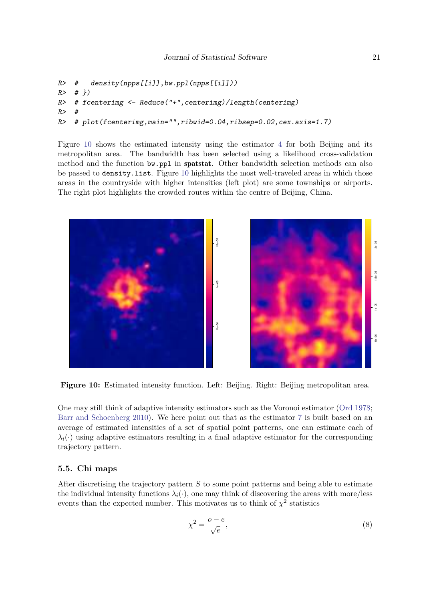```
R> # density(npps[[i]],bw.ppl(npps[[i]]))
R > #?R> # fcenterimg <- Reduce("+",centerimg)/length(centerimg)
R #
R> # plot(fcenterimg,main="",ribwid=0.04,ribsep=0.02,cex.axis=1.7)
```
Figure 10 shows the estimated intensity using the estimator 4 for both Beijing and its metropolitan area. The bandwidth has been selected using a likelihood cross-validation method and the function bw.ppl in spatstat. Other bandwidth selection methods can also be passed to density.list. Figure 10 highlights the most well-traveled areas in which those areas in the countryside with higher intensities (left plot) are some townships or airports. The right plot highlights the crowded routes within the centre of Beijing, China.



**Figure 10:** Estimated intensity function. Left: Beijing. Right: Beijing metropolitan area.

One may still think of adaptive intensity estimators such as the Voronoi estimator (Ord 1978; Barr and Schoenberg 2010). We here point out that as the estimator 7 is built based on an average of estimated intensities of a set of spatial point patterns, one can estimate each of  $\lambda_i(\cdot)$  using adaptive estimators resulting in a final adaptive estimator for the corresponding trajectory pattern.

### **5.5. Chi maps**

After discretising the trajectory pattern *S* to some point patterns and being able to estimate the individual intensity functions  $\lambda_i(\cdot)$ , one may think of discovering the areas with more/less events than the expected number. This motivates us to think of  $\chi^2$  statistics

$$
\chi^2 = \frac{o - e}{\sqrt{e}},\tag{8}
$$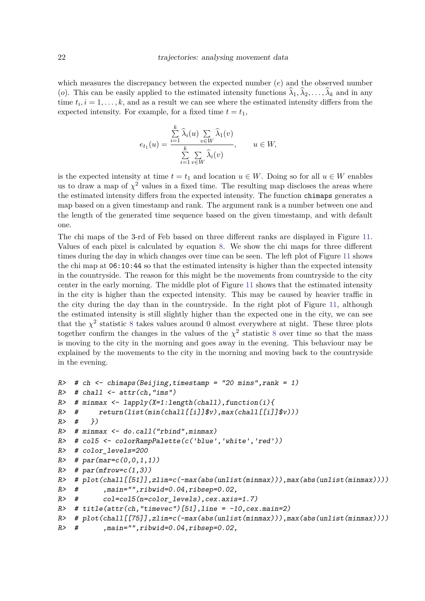which measures the discrepancy between the expected number (*e*) and the observed number (*o*). This can be easily applied to the estimated intensity functions  $\lambda_1, \lambda_2, \ldots, \lambda_k$  and in any time  $t_i, i = 1, \ldots, k$ , and as a result we can see where the estimated intensity differs from the expected intensity. For example, for a fixed time  $t = t_1$ ,

$$
e_{t_1}(u) = \frac{\sum\limits_{i=1}^k \widehat{\lambda}_i(u) \sum\limits_{v \in W} \widehat{\lambda}_1(v)}{\sum\limits_{i=1}^k \sum\limits_{v \in W} \widehat{\lambda}_i(v)}, \qquad u \in W,
$$

is the expected intensity at time  $t = t_1$  and location  $u \in W$ . Doing so for all  $u \in W$  enables us to draw a map of  $\chi^2$  values in a fixed time. The resulting map discloses the areas where the estimated intensity differs from the expected intensity. The function chimaps generates a map based on a given timestamp and rank. The argument rank is a number between one and the length of the generated time sequence based on the given timestamp, and with default one.

The chi maps of the 3-rd of Feb based on three different ranks are displayed in Figure 11. Values of each pixel is calculated by equation 8. We show the chi maps for three different times during the day in which changes over time can be seen. The left plot of Figure 11 shows the chi map at 06:10:44 so that the estimated intensity is higher than the expected intensity in the countryside. The reason for this might be the movements from countryside to the city center in the early morning. The middle plot of Figure 11 shows that the estimated intensity in the city is higher than the expected intensity. This may be caused by heavier traffic in the city during the day than in the countryside. In the right plot of Figure 11, although the estimated intensity is still slightly higher than the expected one in the city, we can see that the  $\chi^2$  statistic 8 takes values around 0 almost everywhere at night. These three plots together confirm the changes in the values of the  $\chi^2$  statistic 8 over time so that the mass is moving to the city in the morning and goes away in the evening. This behaviour may be explained by the movements to the city in the morning and moving back to the countryside in the evening.

```
R \rightarrow # ch \leftarrow chimaps(Beijing, timestamp = "20 mins", rank = 1)
R> # chall <- attr(ch, "ims")
R> # minmax <- lapply(X=1:length(chall), function(i){
R \rightarrow \quad return (list(min(chal1[[i]]\v), max(charall[[i]]\v))
R > # \}R> # minmax <- do.call("rbind",minmax)
R> # col5 <- colorRampPalette(c('blue','white','red'))
R> # color_levels=200
R # par(mar=c(0,0,1,1))
R> # par(mfrow=c(1,3))
R> # plot(chall[[51]],zlim=c(-max(abs(unlist(minmax))),max(abs(unlist(minmax))))
R \neq R \neq , main="r; ibwid=0.04, ribsep=0.02,R \neq col=col5(n=color\_levels),cex.axis=1.7)R> # title(attr(ch, "timevec")[51], line = -10, cex.main=2)
R> # plot(chall[[75]],zlim=c(-max(abs(unlist(minmax))),max(abs(unlist(minmax))))
R \neq R \neq , main="r; ibwid=0.04, ribsep=0.02,
```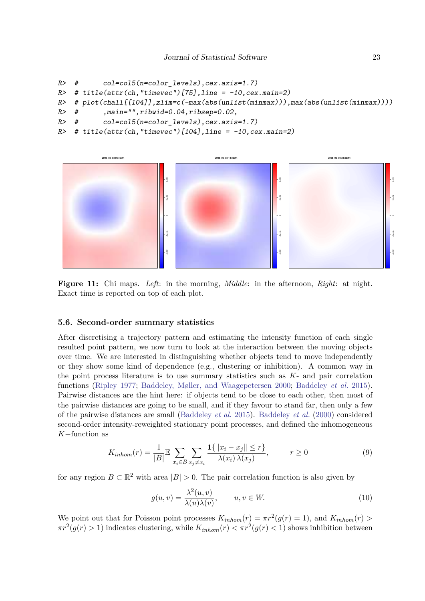```
R> # col=col5(n=color_levels),cex.axis=1.7)
R \neq title(attr(ch, "timevec")[75], line = -10, cex.main=2)
R> # plot(chall[[104]],zlim=c(-max(abs(unlist(minmax))),max(abs(unlist(minmax))))
R> # ,main="",ribwid=0.04,ribsep=0.02,
R \neq col=col5(n=color\;levels),cex.axis=1.7)R \neq title(attr(ch, "timevec")[104], line = -10, cex.main=2)
```


**Figure 11:** Chi maps. *Left*: in the morning, *Middle*: in the afternoon, *Right*: at night. Exact time is reported on top of each plot.

#### **5.6. Second-order summary statistics**

After discretising a trajectory pattern and estimating the intensity function of each single resulted point pattern, we now turn to look at the interaction between the moving objects over time. We are interested in distinguishing whether objects tend to move independently or they show some kind of dependence (e.g., clustering or inhibition). A common way in the point process literature is to use summary statistics such as *K*- and pair correlation functions (Ripley 1977; Baddeley, Møller, and Waagepetersen 2000; Baddeley *et al.* 2015). Pairwise distances are the hint here: if objects tend to be close to each other, then most of the pairwise distances are going to be small, and if they favour to stand far, then only a few of the pairwise distances are small (Baddeley *et al.* 2015). Baddeley *et al.* (2000) considered second-order intensity-reweighted stationary point processes, and defined the inhomogeneous *K*−function as

$$
K_{inhom}(r) = \frac{1}{|B|} \mathbb{E} \sum_{x_i \in B} \sum_{x_j \neq x_i} \frac{\mathbf{1}\{\|x_i - x_j\| \le r\}}{\lambda(x_i)\,\lambda(x_j)}, \qquad r \ge 0
$$
\n(9)

for any region  $B \subset \mathbb{R}^2$  with area  $|B| > 0$ . The pair correlation function is also given by

$$
g(u,v) = \frac{\lambda^2(u,v)}{\lambda(u)\lambda(v)}, \qquad u, v \in W.
$$
\n(10)

We point out that for Poisson point processes  $K_{inhom}(r) = \pi r^2(g(r) = 1)$ , and  $K_{inhom}(r) >$  $\pi r^2(g(r) > 1)$  indicates clustering, while  $K_{inhom}(r) < \pi r^2(g(r) < 1)$  shows inhibition between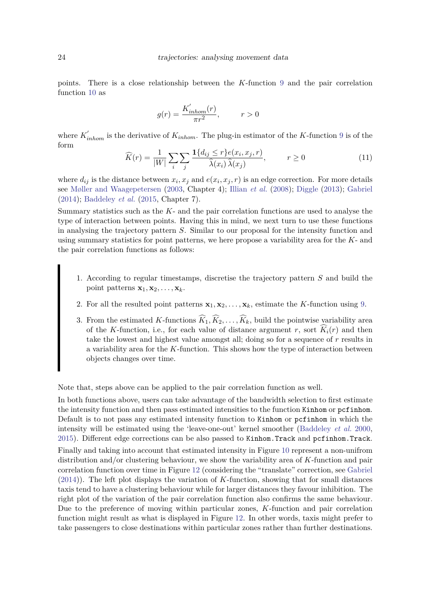points. There is a close relationship between the *K*-function 9 and the pair correlation function 10 as

$$
g(r)=\frac{K_{inhom}'(r)}{\pi r^2},\hspace{1cm}r>0
$$

where  $K'_{inhom}$  is the derivative of  $K_{inhom}$ . The plug-in estimator of the *K*-function 9 is of the form

$$
\widehat{K}(r) = \frac{1}{|W|} \sum_{i} \sum_{j} \frac{\mathbf{1}\{d_{ij} \le r\} e(x_i, x_j, r)}{\widehat{\lambda}(x_i)\,\widehat{\lambda}(x_j)}, \qquad r \ge 0
$$
\n(11)

where  $d_{ij}$  is the distance between  $x_i, x_j$  and  $e(x_i, x_j, r)$  is an edge correction. For more details see Møller and Waagepetersen (2003, Chapter 4); Illian *et al.* (2008); Diggle (2013); Gabriel (2014); Baddeley *et al.* (2015, Chapter 7).

Summary statistics such as the *K*- and the pair correlation functions are used to analyse the type of interaction between points. Having this in mind, we next turn to use these functions in analysing the trajectory pattern *S*. Similar to our proposal for the intensity function and using summary statistics for point patterns, we here propose a variability area for the *K*- and the pair correlation functions as follows:

- 1. According to regular timestamps, discretise the trajectory pattern *S* and build the point patterns  $\mathbf{x}_1, \mathbf{x}_2, \ldots, \mathbf{x}_k$ .
- 2. For all the resulted point patterns  $\mathbf{x}_1, \mathbf{x}_2, \ldots, \mathbf{x}_k$ , estimate the *K*-function using 9.
- 3. From the estimated *K*-functions  $\widehat{K}_1, \widehat{K}_2, \ldots, \widehat{K}_k$ , build the pointwise variability area of the *K*-function, i.e., for each value of distance argument *r*, sort  $\widehat{K}_i(r)$  and then take the lowest and highest value amongst all; doing so for a sequence of *r* results in a variability area for the *K*-function. This shows how the type of interaction between objects changes over time.

Note that, steps above can be applied to the pair correlation function as well.

In both functions above, users can take advantage of the bandwidth selection to first estimate the intensity function and then pass estimated intensities to the function Kinhom or pcfinhom. Default is to not pass any estimated intensity function to Kinhom or pcfinhom in which the intensity will be estimated using the 'leave-one-out' kernel smoother (Baddeley *et al.* 2000, 2015). Different edge corrections can be also passed to Kinhom.Track and pcfinhom.Track. Finally and taking into account that estimated intensity in Figure 10 represent a non-unifrom distribution and/or clustering behaviour, we show the variability area of *K*-function and pair correlation function over time in Figure 12 (considering the "translate" correction, see Gabriel (2014)). The left plot displays the variation of *K*-function, showing that for small distances

taxis tend to have a clustering behaviour while for larger distances they favour inhibition. The right plot of the variation of the pair correlation function also confirms the same behaviour. Due to the preference of moving within particular zones, *K*-function and pair correlation function might result as what is displayed in Figure 12. In other words, taxis might prefer to take passengers to close destinations within particular zones rather than further destinations.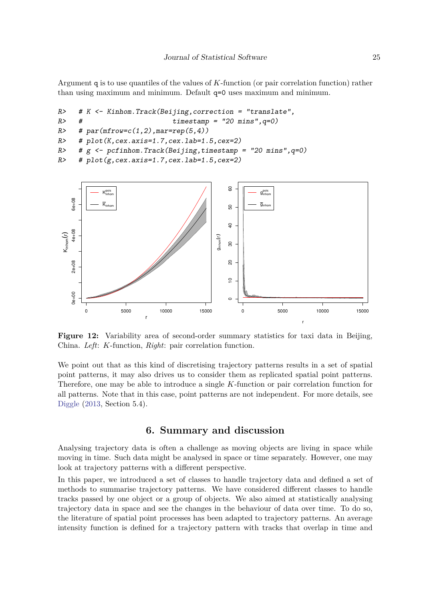Argument q is to use quantiles of the values of *K*-function (or pair correlation function) rather than using maximum and minimum. Default q=0 uses maximum and minimum.

```
R \rightarrow # K \leftarrow Kinhom. Track(Beijing, correction = "translate",
R \neq H \neq t \neq t \neq t \neq t \neq t \neq t \neq t \neq t \neq t \neq \neq \neq \neq \neq \neq \neq \neq \neq \neq \neq \neq \neq \neq \neq \neq \neq \neq \neq \neR> # par(mfrow=c(1,2),mar=rep(5,4))
R \neq plot(K, cex. axis=1.7, cex. lab=1.5, cex=2)R> # g <- pcfinhom. Track(Beijing, timestamp = "20 mins", q=0)
R \neq plot(g, cex. axis=1.7, cex. lab=1.5, cex=2)
```


**Figure 12:** Variability area of second-order summary statistics for taxi data in Beijing, China. *Left*: *K*-function, *Right*: pair correlation function.

We point out that as this kind of discretising trajectory patterns results in a set of spatial point patterns, it may also drives us to consider them as replicated spatial point patterns. Therefore, one may be able to introduce a single *K*-function or pair correlation function for all patterns. Note that in this case, point patterns are not independent. For more details, see Diggle (2013, Section 5.4).

## **6. Summary and discussion**

Analysing trajectory data is often a challenge as moving objects are living in space while moving in time. Such data might be analysed in space or time separately. However, one may look at trajectory patterns with a different perspective.

In this paper, we introduced a set of classes to handle trajectory data and defined a set of methods to summarise trajectory patterns. We have considered different classes to handle tracks passed by one object or a group of objects. We also aimed at statistically analysing trajectory data in space and see the changes in the behaviour of data over time. To do so, the literature of spatial point processes has been adapted to trajectory patterns. An average intensity function is defined for a trajectory pattern with tracks that overlap in time and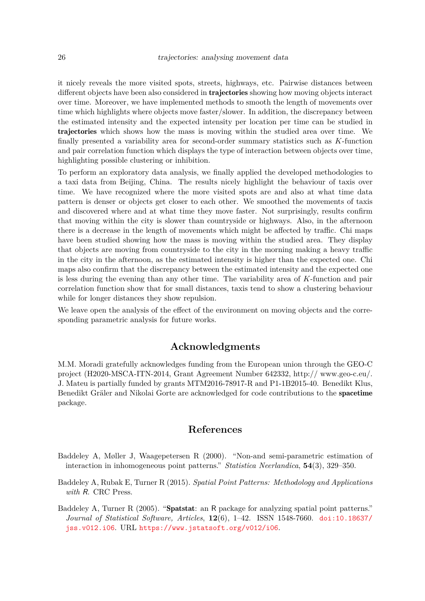it nicely reveals the more visited spots, streets, highways, etc. Pairwise distances between different objects have been also considered in **trajectories** showing how moving objects interact over time. Moreover, we have implemented methods to smooth the length of movements over time which highlights where objects move faster/slower. In addition, the discrepancy between the estimated intensity and the expected intensity per location per time can be studied in trajectories which shows how the mass is moving within the studied area over time. We finally presented a variability area for second-order summary statistics such as *K*-function and pair correlation function which displays the type of interaction between objects over time, highlighting possible clustering or inhibition.

To perform an exploratory data analysis, we finally applied the developed methodologies to a taxi data from Beijing, China. The results nicely highlight the behaviour of taxis over time. We have recognized where the more visited spots are and also at what time data pattern is denser or objects get closer to each other. We smoothed the movements of taxis and discovered where and at what time they move faster. Not surprisingly, results confirm that moving within the city is slower than countryside or highways. Also, in the afternoon there is a decrease in the length of movements which might be affected by traffic. Chi maps have been studied showing how the mass is moving within the studied area. They display that objects are moving from countryside to the city in the morning making a heavy traffic in the city in the afternoon, as the estimated intensity is higher than the expected one. Chi maps also confirm that the discrepancy between the estimated intensity and the expected one is less during the evening than any other time. The variability area of *K*-function and pair correlation function show that for small distances, taxis tend to show a clustering behaviour while for longer distances they show repulsion.

We leave open the analysis of the effect of the environment on moving objects and the corresponding parametric analysis for future works.

## **Acknowledgments**

M.M. Moradi gratefully acknowledges funding from the European union through the GEO-C project (H2020-MSCA-ITN-2014, Grant Agreement Number 642332, http:// www.geo-c.eu/. J. Mateu is partially funded by grants MTM2016-78917-R and P1-1B2015-40. Benedikt Klus, Benedikt Gräler and Nikolai Gorte are acknowledged for code contributions to the spacetime package.

## **References**

- Baddeley A, Møller J, Waagepetersen R (2000). "Non-and semi-parametric estimation of interaction in inhomogeneous point patterns." *Statistica Neerlandica*, **54**(3), 329–350.
- Baddeley A, Rubak E, Turner R (2015). *Spatial Point Patterns: Methodology and Applications with* R. CRC Press.
- Baddeley A, Turner R (2005). "Spatstat: an R package for analyzing spatial point patterns." *Journal of Statistical Software, Articles*, **12**(6), 1–42. ISSN 1548-7660. doi:10.18637/ jss.v012.i06. URL https://www.jstatsoft.org/v012/i06.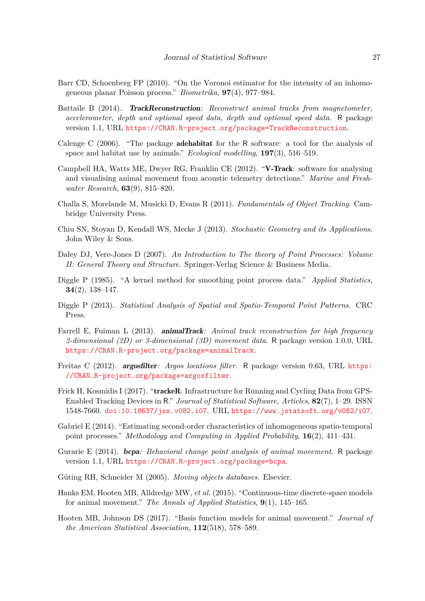- Barr CD, Schoenberg FP (2010). "On the Voronoi estimator for the intensity of an inhomogeneous planar Poisson process." *Biometrika*, **97**(4), 977–984.
- Battaile B (2014). TrackReconstruction*: Reconstruct animal tracks from magnetometer, accelerometer, depth and optional speed data, depth and optional speed data.* R package version 1.1, URL https://CRAN.R-project.org/package=TrackReconstruction.
- Calenge C (2006). "The package adehabitat for the R software: a tool for the analysis of space and habitat use by animals." *Ecological modelling*, **197**(3), 516–519.
- Campbell HA, Watts ME, Dwyer RG, Franklin CE (2012). "V-Track: software for analysing and visualising animal movement from acoustic telemetry detections." *Marine and Freshwater Research*, **63**(9), 815–820.
- Challa S, Morelande M, Musicki D, Evans R (2011). *Fundamentals of Object Tracking*. Cambridge University Press.
- Chiu SN, Stoyan D, Kendall WS, Mecke J (2013). *Stochastic Geometry and its Applications*. John Wiley & Sons.
- Daley DJ, Vere-Jones D (2007). *An Introduction to The theory of Point Processes: Volume II: General Theory and Structure*. Springer-Verlag Science & Business Media.
- Diggle P (1985). "A kernel method for smoothing point process data." *Applied Statistics*, **34**(2), 138–147.
- Diggle P (2013). *Statistical Analysis of Spatial and Spatio-Temporal Point Patterns*. CRC Press.
- Farrell E, Fuiman L (2013). animalTrack*: Animal track reconstruction for high frequency 2-dimensional (2D) or 3-dimensional (3D) movement data*. R package version 1.0.0, URL https://CRAN.R-project.org/package=animalTrack.
- Freitas C (2012). argosfilter*: Argos locations filter*. R package version 0.63, URL https: //CRAN.R-project.org/package=argosfilter.
- Frick H, Kosmidis I (2017). "**trackeR**: Infrastructure for Running and Cycling Data from GPS-Enabled Tracking Devices in R." *Journal of Statistical Software, Articles*, **82**(7), 1–29. ISSN 1548-7660. doi:10.18637/jss.v082.i07. URL https://www.jstatsoft.org/v082/i07.
- Gabriel E (2014). "Estimating second-order characteristics of inhomogeneous spatio-temporal point processes." *Methodology and Computing in Applied Probability*, **16**(2), 411–431.
- Gurarie E (2014). bcpa*: Behavioral change point analysis of animal movement*. R package version 1.1, URL https://CRAN.R-project.org/package=bcpa.
- Güting RH, Schneider M (2005). *Moving objects databases*. Elsevier.
- Hanks EM, Hooten MB, Alldredge MW, *et al.* (2015). "Continuous-time discrete-space models for animal movement." *The Annals of Applied Statistics*, **9**(1), 145–165.
- Hooten MB, Johnson DS (2017). "Basis function models for animal movement." *Journal of the American Statistical Association*, **112**(518), 578–589.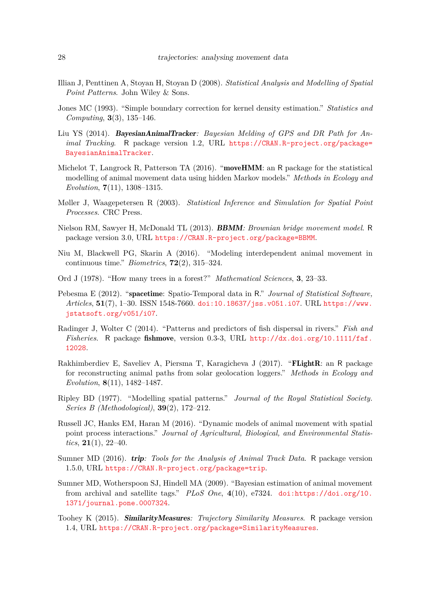- Illian J, Penttinen A, Stoyan H, Stoyan D (2008). *Statistical Analysis and Modelling of Spatial Point Patterns*. John Wiley & Sons.
- Jones MC (1993). "Simple boundary correction for kernel density estimation." *Statistics and Computing*, **3**(3), 135–146.
- Liu YS (2014). BayesianAnimalTracker*: Bayesian Melding of GPS and DR Path for Animal Tracking*. R package version 1.2, URL https://CRAN.R-project.org/package= BayesianAnimalTracker.
- Michelot T, Langrock R, Patterson TA  $(2016)$ . "**moveHMM**: an R package for the statistical modelling of animal movement data using hidden Markov models." *Methods in Ecology and Evolution*, **7**(11), 1308–1315.
- Møller J, Waagepetersen R (2003). *Statistical Inference and Simulation for Spatial Point Processes*. CRC Press.
- Nielson RM, Sawyer H, McDonald TL (2013). BBMM*: Brownian bridge movement model*. R package version 3.0, URL https://CRAN.R-project.org/package=BBMM.
- Niu M, Blackwell PG, Skarin A (2016). "Modeling interdependent animal movement in continuous time." *Biometrics*, **72**(2), 315–324.
- Ord J (1978). "How many trees in a forest?" *Mathematical Sciences*, **3**, 23–33.
- Pebesma E (2012). "spacetime: Spatio-Temporal data in R." *Journal of Statistical Software, Articles*, **51**(7), 1–30. ISSN 1548-7660. doi:10.18637/jss.v051.i07. URL https://www. jstatsoft.org/v051/i07.
- Radinger J, Wolter C (2014). "Patterns and predictors of fish dispersal in rivers." *Fish and Fisheries*. R package fishmove, version 0.3-3, URL http://dx.doi.org/10.1111/faf. 12028.
- Rakhimberdiev E, Saveliev A, Piersma T, Karagicheva J (2017). "FLightR: an R package for reconstructing animal paths from solar geolocation loggers." *Methods in Ecology and Evolution*, **8**(11), 1482–1487.
- Ripley BD (1977). "Modelling spatial patterns." *Journal of the Royal Statistical Society. Series B (Methodological)*, **39**(2), 172–212.
- Russell JC, Hanks EM, Haran M (2016). "Dynamic models of animal movement with spatial point process interactions." *Journal of Agricultural, Biological, and Environmental Statistics*, **21**(1), 22–40.
- Sumner MD (2016). trip*: Tools for the Analysis of Animal Track Data*. R package version 1.5.0, URL https://CRAN.R-project.org/package=trip.
- Sumner MD, Wotherspoon SJ, Hindell MA (2009). "Bayesian estimation of animal movement from archival and satellite tags." *PLoS One*, **4**(10), e7324. doi:https://doi.org/10. 1371/journal.pone.0007324.
- Toohey K (2015). SimilarityMeasures*: Trajectory Similarity Measures*. R package version 1.4, URL https://CRAN.R-project.org/package=SimilarityMeasures.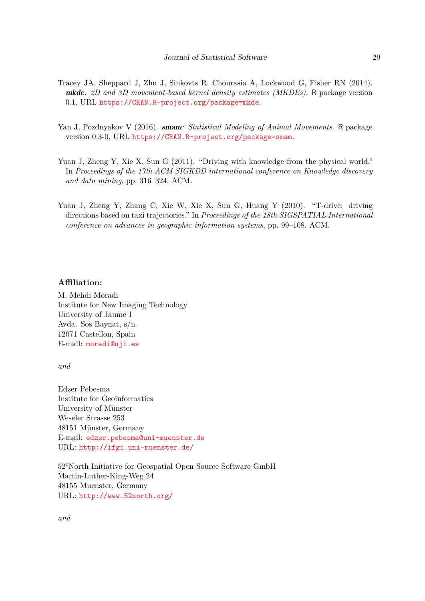- Tracey JA, Sheppard J, Zhu J, Sinkovts R, Chourasia A, Lockwood G, Fisher RN (2014). mkde*: 2D and 3D movement-based kernel density estimates (MKDEs).* R package version 0.1, URL https://CRAN.R-project.org/package=mkde.
- Yan J, Pozdnyakov V (2016). smam*: Statistical Modeling of Animal Movements*. R package version 0.3-0, URL https://CRAN.R-project.org/package=smam.
- Yuan J, Zheng Y, Xie X, Sun G (2011). "Driving with knowledge from the physical world." In *Proceedings of the 17th ACM SIGKDD international conference on Knowledge discovery and data mining*, pp. 316–324. ACM.
- Yuan J, Zheng Y, Zhang C, Xie W, Xie X, Sun G, Huang Y (2010). "T-drive: driving directions based on taxi trajectories." In *Proceedings of the 18th SIGSPATIAL International conference on advances in geographic information systems*, pp. 99–108. ACM.

## **Affiliation:**

M. Mehdi Moradi Institute for New Imaging Technology University of Jaume I Avda. Sos Baynat, s/n 12071 Castellon, Spain E-mail: moradi@uji.es

*and*

Edzer Pebesma Institute for Geoinformatics University of Münster Weseler Strasse 253 48151 Münster, Germany E-mail: edzer.pebesma@uni-muenster.de URL: http://ifgi.uni-muenster.de/

52°North Initiative for Geospatial Open Source Software GmbH Martin-Luther-King-Weg 24 48155 Muenster, Germany URL: http://www.52north.org/

*and*